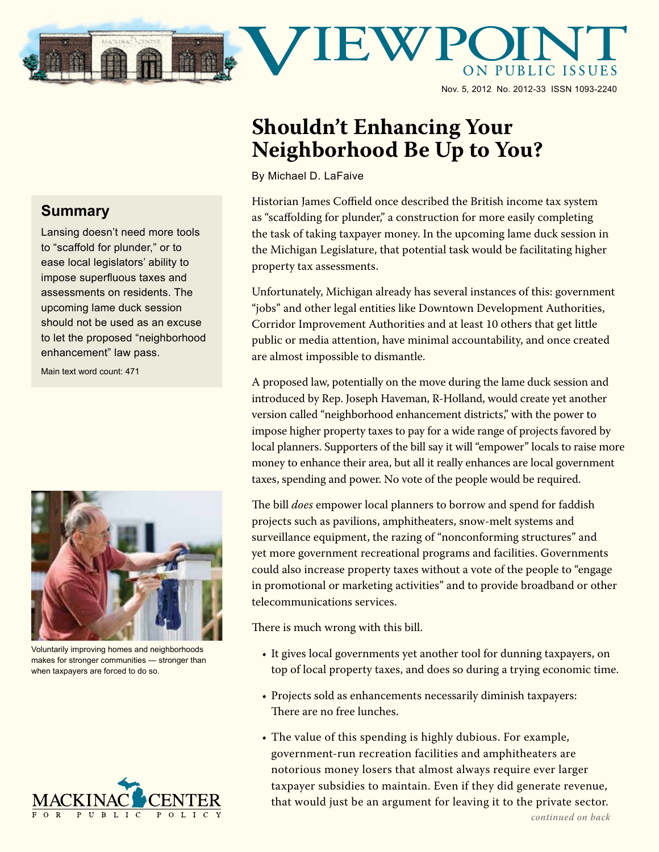

Nov. 5, 2012 No. 2012-33 ISSN 1093-2240

## **Shouldn't Enhancing Your Neighborhood Be Up to You?**

By Michael D. LaFaive

Historian James Coffield once described the British income tax system as "scaffolding for plunder," a construction for more easily completing the task of taking taxpayer money. In the upcoming lame duck session in the Michigan Legislature, that potential task would be facilitating higher property tax assessments.

Unfortunately, Michigan already has several instances of this: government "jobs" and other legal entities like Downtown Development Authorities, Corridor Improvement Authorities and at least 10 others that get little public or media attention, have minimal accountability, and once created are almost impossible to dismantle.

A proposed law, potentially on the move during the lame duck session and introduced by Rep. Joseph Haveman, R-Holland, would create yet another version called "neighborhood enhancement districts," with the power to impose higher property taxes to pay for a wide range of projects favored by local planners. Supporters of the bill say it will "empower" locals to raise more money to enhance their area, but all it really enhances are local government taxes, spending and power. No vote of the people would be required.

The bill *does* empower local planners to borrow and spend for faddish projects such as pavilions, amphitheaters, snow-melt systems and surveillance equipment, the razing of "nonconforming structures" and yet more government recreational programs and facilities. Governments could also increase property taxes without a vote of the people to "engage in promotional or marketing activities" and to provide broadband or other telecommunications services.

There is much wrong with this bill.

- It gives local governments yet another tool for dunning taxpayers, on top of local property taxes, and does so during a trying economic time.
- Projects sold as enhancements necessarily diminish taxpayers: There are no free lunches.
- The value of this spending is highly dubious. For example, government-run recreation facilities and amphitheaters are notorious money losers that almost always require ever larger taxpayer subsidies to maintain. Even if they did generate revenue, that would just be an argument for leaving it to the private sector.

## **Summary**

Lansing doesn't need more tools to "scaffold for plunder," or to ease local legislators' ability to impose superfluous taxes and assessments on residents. The upcoming lame duck session should not be used as an excuse to let the proposed "neighborhood enhancement" law pass.

Main text word count: 471



Voluntarily improving homes and neighborhoods makes for stronger communities — stronger than when taxpayers are forced to do so.